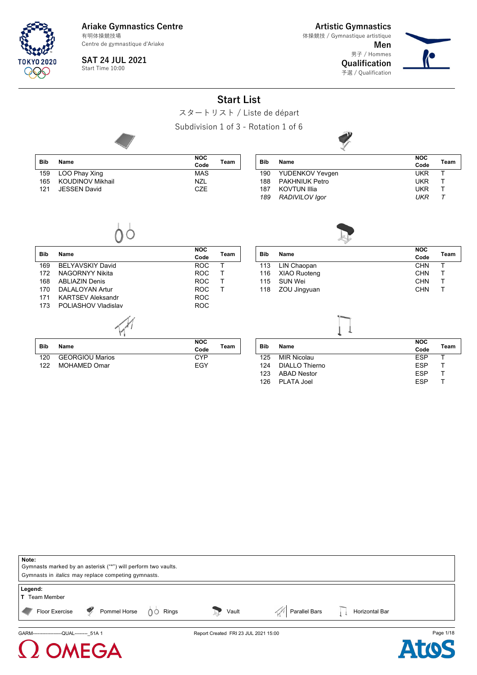Centre de gymnastique d'Ariake

**SAT 24 JUL 2021** Start Time 10:00

**TOKYO 2020** OSA

**Artistic Gymnastics Men** 体操競技 / Gymnastique artistique

男子 / Hommes **Qualification** 予選 / Qualification



|            |                          |                                      | <b>Start List</b> |            |                       |                    |        |
|------------|--------------------------|--------------------------------------|-------------------|------------|-----------------------|--------------------|--------|
|            |                          | スタートリスト / Liste de départ            |                   |            |                       |                    |        |
|            |                          | Subdivision 1 of 3 - Rotation 1 of 6 |                   |            |                       |                    |        |
| <b>Bib</b> | Name                     | <b>NOC</b><br>Code                   | Team              | <b>Bib</b> | Name                  | <b>NOC</b><br>Code | Team   |
| 159        | LOO Phay Xing            | <b>MAS</b>                           |                   | 190        | YUDENKOV Yevgen       | <b>UKR</b>         | Τ      |
| 165        | <b>KOUDINOV Mikhail</b>  | <b>NZL</b>                           |                   | 188        | <b>PAKHNIUK Petro</b> | <b>UKR</b>         | Т      |
| 121        | <b>JESSEN David</b>      | <b>CZE</b>                           |                   | 187        | <b>KOVTUN Illia</b>   | <b>UKR</b>         | T      |
|            |                          |                                      |                   | 189        | RADIVILOV Igor        | <b>UKR</b>         | $\tau$ |
| <b>Bib</b> | Name                     | NOC<br>Code                          | Team              | <b>Bib</b> | Name                  | <b>NOC</b><br>Code | Team   |
| 169        | <b>BELYAVSKIY David</b>  | <b>ROC</b>                           | Τ                 | 113        | LIN Chaopan           | <b>CHN</b>         | T      |
| 172        | <b>NAGORNYY Nikita</b>   | <b>ROC</b>                           | T                 | 116        | <b>XIAO Ruoteng</b>   | <b>CHN</b>         | T      |
| 168        | <b>ABLIAZIN Denis</b>    | <b>ROC</b>                           | T                 | 115        | <b>SUN Wei</b>        | <b>CHN</b>         | T      |
| 170        | <b>DALALOYAN Artur</b>   | <b>ROC</b>                           | T                 | 118        | ZOU Jingyuan          | <b>CHN</b>         | T      |
| 171        | <b>KARTSEV Aleksandr</b> | <b>ROC</b>                           |                   |            |                       |                    |        |
| 173        | POLIASHOV Vladislav      | <b>ROC</b>                           |                   |            |                       |                    |        |
|            |                          |                                      |                   |            |                       |                    |        |
| <b>Bib</b> | Name                     | <b>NOC</b><br>Code                   | Team              | <b>Bib</b> | Name                  | <b>NOC</b><br>Code | Team   |
| 120        | <b>GEORGIOU Marios</b>   | <b>CYP</b>                           |                   | 125        | <b>MIR Nicolau</b>    | <b>ESP</b>         | T      |
| 122        | <b>MOHAMED Omar</b>      | EGY                                  |                   | 124        | <b>DIALLO Thierno</b> | <b>ESP</b>         | Т      |
|            |                          |                                      |                   | 123        | <b>ABAD Nestor</b>    | <b>ESP</b>         | T      |
|            |                          |                                      |                   |            |                       | <b>ESP</b>         | T      |

126 PLATA Joel

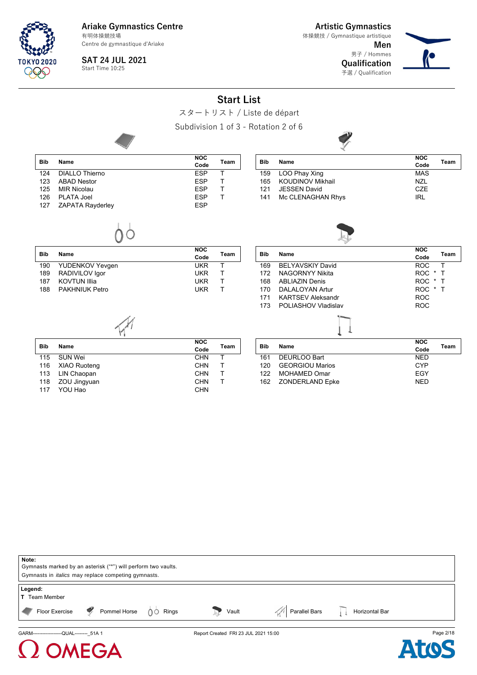Centre de gymnastique d'Ariake

**SAT 24 JUL 2021**

Start Time 10:25

FGA

**Artistic Gymnastics Men** 体操競技 / Gymnastique artistique

男子 / Hommes **Qualification** 予選 / Qualification



#### **Start List** スタートリスト / Liste de départ Subdivision 1 of 3 - Rotation 2 of 6 **Bib Name NOC Code Team** 124 DIALLO Thierno ESP T<br>123 ABAD Nestor ESP T 123 ABAD Nestor **ESP T**<br>125 MIR Nicolau **New York Strategy Profile SP T** 125 MIR Nicolau ESP T 126 PLATA Joel ESP T ZAPATA Rayderley **Bib Name NOC Code Team** 159 LOO Phay Xing<br>165 KOUDINOV Mikhail MXI NZI 165 KOUDINOV Mikhail NZL 121 JESSEN David 141 Mc CLENAGHAN Rhys **IRL Bib Name NOC Code Team** 190 YUDENKOV Yevgen UKR T 189 RADIVILOV Igor UKR T 187 KOVTUN Illia 188 PAKHNIUK Petro **WALKER THE SERVIT SERVIT SERVIT BET Bib Name NOC Code Team** 169 BELYAVSKIY David ROC T 172 NAGORNYY Nikita ROC \* T 168 ABLIAZIN Denis ROC \* T 170 DALALOYAN Artur 171 KARTSEV Aleksandr North ROC 173 POLIASHOV Vladislav **ROC Bib Name NOC Code Team** 115 SUN Wei CHN T<br>116 XIAO Ruotena CHN T 116 XIAO Ruoteng CHN CHN<br>113 LIN Chaopan CHN CHN 113 LIN Chaopan CHN T 118 ZOU Jingyuan CHN T<br>117 YOU Hao CHN CHN YOU Hao **Bib Name NOC Code Team** 161 DEURLOO Bart NED 120 GEORGIOU Marios CYP 122 MOHAMED Omar 162 ZONDERLAND Epke NED



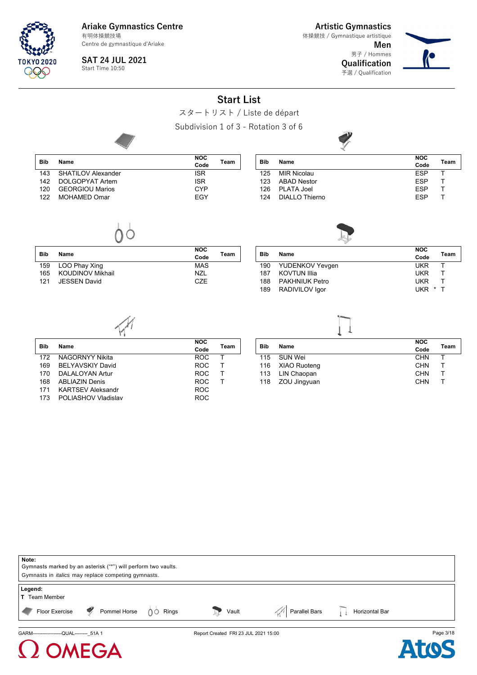Centre de gymnastique d'Ariake

**SAT 24 JUL 2021** Start Time 10:50

**Artistic Gymnastics Men** 体操競技 / Gymnastique artistique

> 男子 / Hommes **Qualification** 予選 / Qualification



## **Start List** スタートリスト / Liste de départ Subdivision 1 of 3 - Rotation 3 of 6 **Bib Name NOC Code Team** 143 SHATILOV Alexander **ISR** 142 DOLGOPYAT Artem **ISR**<br>120 GEORGIOU Marios **ISBN 2006** CYP 120 GEORGIOU Marios 122 MOHAMED Omar **EGY Bib Name NOC Code Team** 125 MIR Nicolau ESP T 123 ABAD Nestor **ESP T**<br>126 PLATA Joel **ESP T** 126 PLATA Joel ESP T 124 DIALLO Thierno ESP T **Bib Name NOC Code Team** 159 LOO Phay Xing MAS 165 KOUDINOV Mikhail NZL NZL NZL NESSEN David 121 JESSEN David **Bib Name NOC Code Team** 190 YUDENKOV Yevgen UKR T 187 KOVTUN Illia UKR T 188 PAKHNIUK Petro UKR T 189 RADIVILOV Igor **Bib Name NOC Code Team** 172 NAGORNYY Nikita ROC T 169 BELYAVSKIY David<br>170 DALALOYAN Artur 170 ROC T DALALOYAN Artur 168 ABLIAZIN Denis ROC T KARTSEV Aleksandr 173 POLIASHOV Vladislav **ROC Bib Name NOC Code Team** 115 SUN Wei CHN T<br>116 XIAO Ruoteng CHN T 116 XIAO Ruoteng CHN T<br>113 LIN Chaopan CHN T 113 LIN Chaopan 118 ZOU Jingyuan CHN T



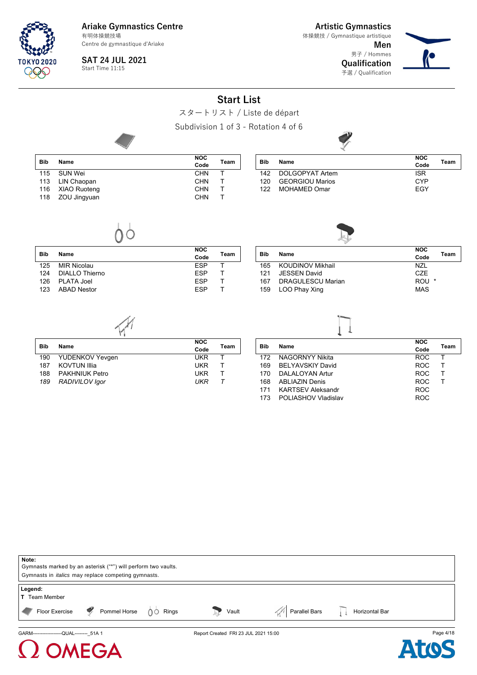Centre de gymnastique d'Ariake

**SAT 24 JUL 2021** Start Time 11:15

FGA

**Artistic Gymnastics** 体操競技 / Gymnastique artistique

> **Men** 男子 / Hommes **Qualification** 予選 / Qualification



# **Start List** スタートリスト / Liste de départ Subdivision 1 of 3 - Rotation 4 of 6 **Bib Name NOC Code Team** 115 SUN Wei CHN T<br>113 LIN Chaopan CHN T 113 LIN Chaopan CHN T<br>116 XIAO Ruoteng CHN T 116 XIAO Ruoteng CHN T<br>118 ZOU Jingyuan CHN T 118 ZOU Jingyuan **Bib Name NOC Code Team** 142 DOLGOPYAT Artem **ISR**<br>120 GEORGIOU Marios CYP 120 GEORGIOU Marios<br>122 MOHAMED Omar CCCC EGY 122 MOHAMED Omar **Bib Name NOC Code Team** 125 MIR Nicolau **ESP T** 124 DIALLO Thierno **ESP T**<br>126 PLATA Joel **ESP T** 126 PLATA Joel 123 ABAD Nestor **ESP** T **Bib Name NOC Code Team** 165 KOUDINOV Mikhail NZL 121 JESSEN David<br>167 DRAGULESCU Marian CHARA COU 167 DRAGULESCU Marian **ROU** \* 159 LOO Phay Xing MAS **Bib Name NOC Code Team** 190 YUDENKOV Yevgen UKR T<br>187 KOVTUN Illia 187 KOVTUN Illia UKR T PAKHNIUK Petro *189 RADIVILOV Igor UKR T* **Bib Name NOC Code Team** 172 NAGORNYY Nikita ROC T 169 BELYAVSKIY David<br>170 DALALOYAN Artur 170 ROC T 170 DALALOYAN Artur 168 ABLIAZIN Denis ROC T KARTSEV Aleksandr 173 POLIASHOV Vladislav **ROC**

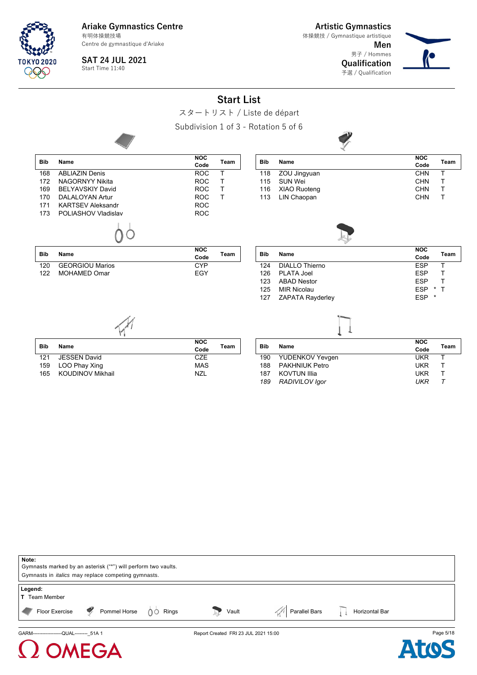Centre de gymnastique d'Ariake

**SAT 24 JUL 2021**

Start Time 11:40

**Artistic Gymnastics Men** 男子 / Hommes 体操競技 / Gymnastique artistique

![](_page_4_Picture_5.jpeg)

![](_page_4_Picture_6.jpeg)

## **Start List** スタートリスト / Liste de départ Subdivision 1 of 3 - Rotation 5 of 6 **Bib Name NOC Code Team** 168 ABLIAZIN Denis **ROC T**<br>172 NAGORNYY Nikita ROC T 172 NAGORNYY Nikita ROC T 169 BELYAVSKIY David 170 DALALOYAN Artur ROC T KARTSEV Aleksandr 173 POLIASHOV Vladislav **ROC Bib Name NOC Code Team** era a term of the control of the control of the control of the child of the child of the child of the child of the child of the child of the child of the child of the child of the child of the child of the child of the chi 115 SUN Wei CHN T<br>116 XIAO Ruoteng CHN T 116 XIAO Ruoteng 113 LIN Chaopan CHN T **Bib Name NOC Code Team** 120 GEORGIOU Marios CYP 122 MOHAMED Omar **EGY Bib Name NOC Code Team** 124 DIALLO Thierno ESP T 126 PLATA Joel ESP T 123 ABAD Nestor **ESP ESP 125 MIR Nicolau ESP \*** 125 MIR Nicolau ESP \* T 127 ZAPATA Rayderley **Bib Name NOC Code Team** 121 JESSEN David<br>159 LOO Phay Xing MAS **Bib Name NOC Code Team** 190 YUDENKOV Yevgen UKR T

![](_page_4_Picture_8.jpeg)

| Bib | Name                | <b>NOC</b> | Team |
|-----|---------------------|------------|------|
|     |                     | Code       |      |
| 190 | YUDENKOV Yevgen     | <b>UKR</b> |      |
| 188 | PAKHNIUK Petro      | <b>UKR</b> |      |
| 187 | <b>KOVTUN Illia</b> | UKR        |      |
| 189 | RADIVILOV Igor      | UKR        |      |
|     |                     |            |      |

![](_page_4_Picture_10.jpeg)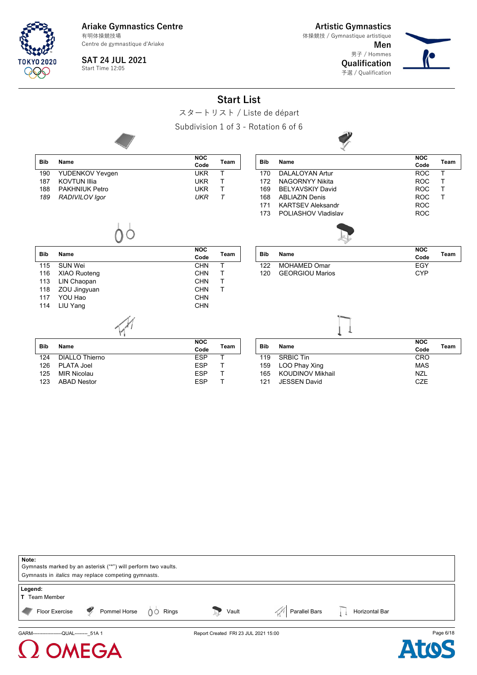Centre de gymnastique d'Ariake

**Artistic Gymnastics** 体操競技 / Gymnastique artistique

> **Men** 男子 / Hommes **Qualification**

> 予選 / Qualification

![](_page_5_Picture_4.jpeg)

**SAT 24 JUL 2021** Start Time 12:05

TNKYN 2020

**Start List**

![](_page_5_Figure_7.jpeg)

| Note:                                                                           |                                      |                |           |
|---------------------------------------------------------------------------------|--------------------------------------|----------------|-----------|
| Gymnasts marked by an asterisk ("*") will perform two vaults.                   |                                      |                |           |
| Gymnasts in <i>italics</i> may replace competing gymnasts.                      |                                      |                |           |
| Legend:<br><b>T</b> Team Member                                                 |                                      |                |           |
| Floor Exercise $\sqrt{2}$ Pommel Horse $\sqrt{6}$ Rings<br>$\blacktriangledown$ | Parallel Bars<br>Vault               | Horizontal Bar |           |
| GARM-------------------QUAL-------- 51A 1                                       | Report Created FRI 23 JUL 2021 15:00 |                | Page 6/18 |

![](_page_5_Picture_9.jpeg)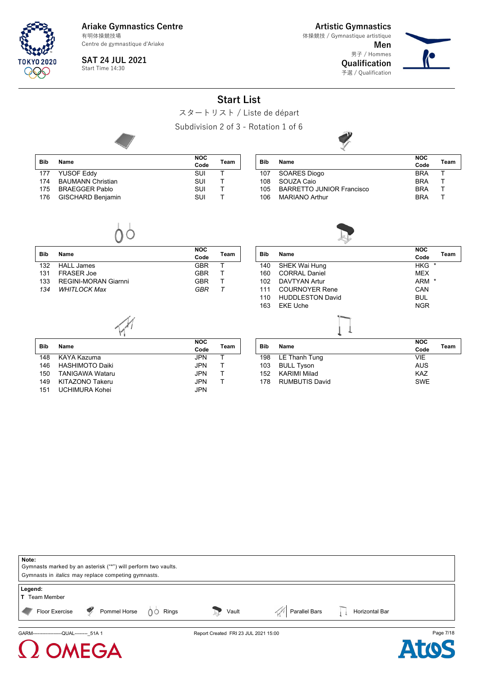Centre de gymnastique d'Ariake

**SAT 24 JUL 2021**

Start Time 14:30

**TOKYO 2020** 999

 $\overline{\phantom{a}}$ 

**Artistic Gymnastics** 体操競技 / Gymnastique artistique

**Men** 男子 / Hommes **Qualification** 予選 / Qualification

![](_page_6_Picture_6.jpeg)

# **Start List**

![](_page_6_Picture_8.jpeg)

Subdivision 2 of 3 - Rotation 1 of 6

![](_page_6_Picture_10.jpeg)

| <b>Bib</b> | Name                     | <b>NOC</b><br>Code | Team |
|------------|--------------------------|--------------------|------|
| 177        | <b>YUSOF Eddy</b>        | SUI                |      |
| 174        | <b>BAUMANN Christian</b> | SUI                |      |
| 175        | <b>BRAEGGER Pablo</b>    | SUI                |      |
| 176        | <b>GISCHARD Benjamin</b> | SUI                |      |

|     |                                  | <b>NOC</b> |      |
|-----|----------------------------------|------------|------|
| Bib | <b>Name</b>                      | Code       | Team |
| 107 | <b>SOARES Diogo</b>              | <b>BRA</b> |      |
| 108 | SOUZA Caio                       | <b>BRA</b> |      |
| 105 | <b>BARRETTO JUNIOR Francisco</b> | <b>BRA</b> |      |
| 106 | <b>MARIANO Arthur</b>            | <b>BRA</b> |      |

![](_page_6_Picture_13.jpeg)

| <b>Bib</b> | Name                        | <b>NOC</b><br>Code | Team |
|------------|-----------------------------|--------------------|------|
| 132        | HALL James                  | GBR                |      |
| 131        | FRASFR Joe                  | <b>GBR</b>         |      |
| 133        | <b>REGINI-MORAN Giarnni</b> | GBR                |      |
| 134        | <b>WHITLOCK Max</b>         | GRR                |      |

![](_page_6_Picture_15.jpeg)

| <b>Bib</b> | Name                   | <b>NOC</b><br>Code | Team |
|------------|------------------------|--------------------|------|
| 148        | KAYA Kazuma            | JPN.               |      |
| 146        | <b>HASHIMOTO Daiki</b> | JPN.               |      |
| 150        | <b>TANIGAWA Wataru</b> | JPN.               |      |
| 149        | KITAZONO Takeru        | <b>JPN</b>         |      |
| 151        | <b>UCHIMURA Kohei</b>  | <b>JPN</b>         |      |

EGA

| <b>Bib</b> |                       |            |      |
|------------|-----------------------|------------|------|
|            | Name                  | Code       | Team |
| 198        | LE Thanh Tung         | <b>VIE</b> |      |
| 103        | <b>BULL Tyson</b>     | <b>AUS</b> |      |
| 152        | KARIMI Milad          | <b>KAZ</b> |      |
| 178        | <b>RUMBUTIS David</b> | <b>SWE</b> |      |

![](_page_6_Picture_18.jpeg)

![](_page_6_Picture_19.jpeg)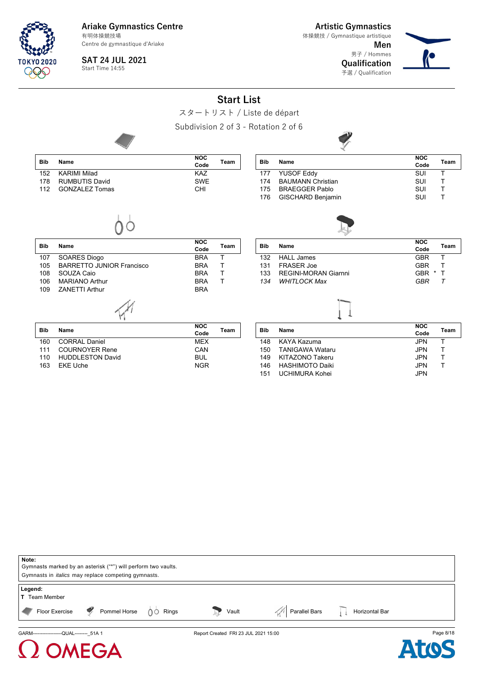Centre de gymnastique d'Ariake

**SAT 24 JUL 2021** Start Time 14:55

**Artistic Gymnastics**

**Men** 男子 / Hommes **Qualification** 体操競技 / Gymnastique artistique

予選 / Qualification

![](_page_7_Picture_5.jpeg)

![](_page_7_Figure_6.jpeg)

![](_page_7_Picture_7.jpeg)

# FGA

![](_page_7_Picture_9.jpeg)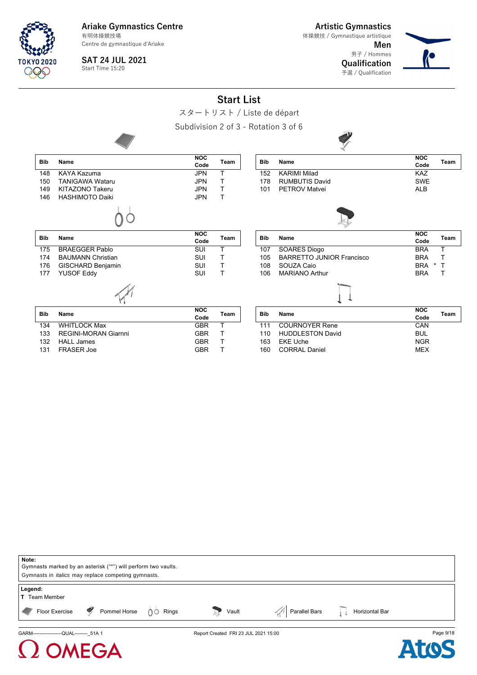Centre de gymnastique d'Ariake

**Artistic Gymnastics** 体操競技 / Gymnastique artistique

> **Men** 男子 / Hommes **Qualification**

予選 / Qualification

![](_page_8_Picture_4.jpeg)

**SAT 24 JUL 2021** Start Time 15:20

**Bib Name**

TOKYO 2020

**Bib Name**

 $\Omega$  OMEGA

**Start List**

スタートリスト / Liste de départ

Subdivision 2 of 3 - Rotation 3 of 6

![](_page_8_Figure_9.jpeg)

| <b>Bib</b> | Name                 | <b>NOC</b><br>Code | Team |
|------------|----------------------|--------------------|------|
| 134        | WHITI OCK Max        | <b>GBR</b>         |      |
| 133        | REGINI-MORAN Giarnni | GBR                |      |
| 132        | HALL James           | <b>GBR</b>         |      |
| 131        | FRASFR Joe           | GRR                |      |

| Bib | Name                    | <b>NOC</b> | Team |
|-----|-------------------------|------------|------|
|     |                         | Code       |      |
| 111 | <b>COURNOYER Rene</b>   | CAN        |      |
| 110 | <b>HUDDLESTON David</b> | <b>BUL</b> |      |
| 163 | <b>EKE Uche</b>         | <b>NGR</b> |      |
| 160 | <b>CORRAL Daniel</b>    | <b>MFX</b> |      |

| Note:<br>Gymnasts marked by an asterisk ("*") will perform two vaults.<br>Gymnasts in <i>italics</i> may replace competing gymnasts. |                                      |               |                |           |
|--------------------------------------------------------------------------------------------------------------------------------------|--------------------------------------|---------------|----------------|-----------|
| Legend:<br><b>T</b> Team Member                                                                                                      |                                      |               |                |           |
| Pommel Horse $\bigcirc$ Rings<br>Floor Exercise                                                                                      | Vault                                | Parallel Bars | Horizontal Bar |           |
| GARM--------------------QUAL-------- 51A 1                                                                                           | Report Created FRI 23 JUL 2021 15:00 |               |                | Page 9/18 |

![](_page_8_Picture_13.jpeg)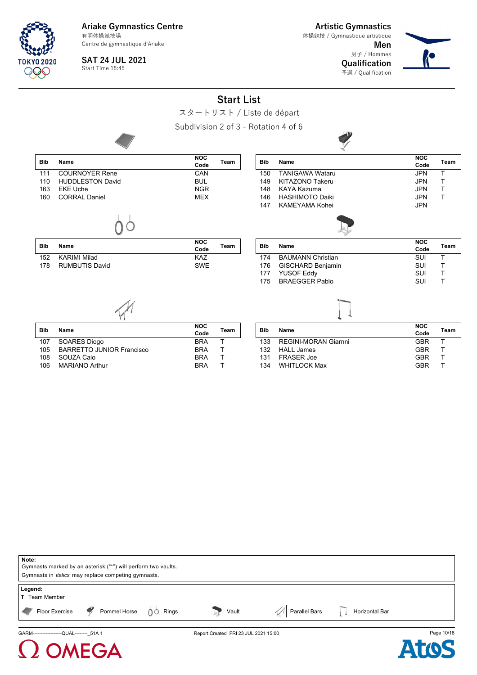Centre de gymnastique d'Ariake

**SAT 24 JUL 2021**

Start Time 15:45

**Artistic Gymnastics** 体操競技 / Gymnastique artistique

131 FRASER Joe GBR T

134 WHITLOCK Max

**Men** 男子 / Hommes **Qualification**

予選 / Qualification

![](_page_9_Picture_6.jpeg)

Subdivision 2 of 3 - Rotation 4 of 6

108 SOUZA Caio BRA T

106 MARIANO Arthur

FGA

![](_page_9_Figure_8.jpeg)

スタートリスト / Liste de départ

![](_page_9_Figure_10.jpeg)

![](_page_9_Picture_11.jpeg)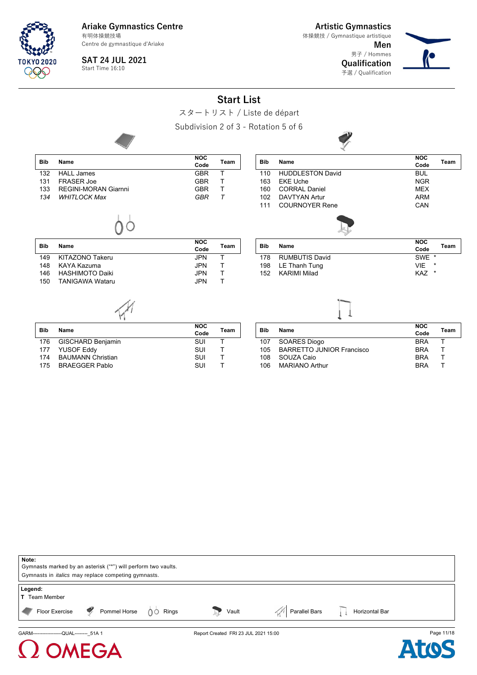Centre de gymnastique d'Ariake

**SAT 24 JUL 2021**

Start Time 16:10

**TOKYO 2020** 999

**Artistic Gymnastics** 体操競技 / Gymnastique artistique

> **Men** 男子 / Hommes **Qualification** 予選 / Qualification

![](_page_10_Picture_6.jpeg)

# **Start List**

スタートリスト / Liste de départ

Subdivision 2 of 3 - Rotation 5 of 6

![](_page_10_Picture_10.jpeg)

|            |                             |                    |        |            | $\mathcal{N}$           |                    |         |
|------------|-----------------------------|--------------------|--------|------------|-------------------------|--------------------|---------|
| <b>Bib</b> | <b>Name</b>                 | <b>NOC</b><br>Code | Team   | <b>Bib</b> | Name                    | <b>NOC</b><br>Code | Team    |
| 132        | <b>HALL James</b>           | <b>GBR</b>         | т      | 110        | <b>HUDDLESTON David</b> | <b>BUL</b>         |         |
| 131        | <b>FRASER Joe</b>           | <b>GBR</b>         | т      | 163        | <b>EKE Uche</b>         | <b>NGR</b>         |         |
| 133        | <b>REGINI-MORAN Giarnni</b> | <b>GBR</b>         | т      | 160        | <b>CORRAL Daniel</b>    | <b>MEX</b>         |         |
| 134        | <b>WHITLOCK Max</b>         | GBR                | $\tau$ | 102        | <b>DAVTYAN Artur</b>    | <b>ARM</b>         |         |
|            |                             |                    |        | 111        | <b>COURNOYER Rene</b>   | CAN                |         |
| <b>Bib</b> | Name                        | <b>NOC</b>         | Team   | Bib        | Name                    | <b>NOC</b>         | Team    |
|            |                             | Code               |        |            |                         | Code               |         |
| 149        | KITAZONO Takeru             | <b>JPN</b>         | T.     | 178        | <b>RUMBUTIS David</b>   | SWE <sup>*</sup>   |         |
| 148        | KAYA Kazuma                 | <b>JPN</b>         | т      | 198        | LE Thanh Tung           | <b>VIE</b>         |         |
| 146        | <b>HASHIMOTO Daiki</b>      | <b>JPN</b>         | T      | 152        | <b>KARIMI Milad</b>     | KAZ                | $\star$ |
| 150        | <b>TANIGAWA Wataru</b>      | <b>JPN</b>         | T      |            |                         |                    |         |
|            |                             |                    |        |            |                         |                    |         |
|            |                             | <b>NOC</b>         |        |            |                         | <b>NOC</b>         |         |

| <b>Bib</b> | Name                     | <b>NOC</b><br>Code | Team |
|------------|--------------------------|--------------------|------|
| 176        | GISCHARD Benjamin        | SUI                |      |
|            | 177 YUSOF Eddy           | SUI                |      |
| 174        | <b>BAUMANN Christian</b> | SUI                |      |
| 175        | <b>BRAEGGER Pablo</b>    | <b>SUI</b>         |      |
|            |                          |                    |      |

| Bib | Name                             | <b>NOC</b> | Team |
|-----|----------------------------------|------------|------|
|     |                                  | Code       |      |
| 107 | SOARES Diogo                     | <b>BRA</b> |      |
| 105 | <b>BARRETTO JUNIOR Francisco</b> | <b>BRA</b> |      |
| 108 | SOUZA Caio                       | <b>BRA</b> |      |
| 106 | <b>MARIANO Arthur</b>            | <b>BRA</b> |      |
|     |                                  |            |      |

| Note:                                      |                                                               |                                      |                                  |            |
|--------------------------------------------|---------------------------------------------------------------|--------------------------------------|----------------------------------|------------|
|                                            | Gymnasts marked by an asterisk ("*") will perform two vaults. |                                      |                                  |            |
|                                            | Gymnasts in <i>italics</i> may replace competing gymnasts.    |                                      |                                  |            |
| Legend:<br><b>T</b> Team Member            |                                                               |                                      |                                  |            |
| Floor Exercise                             | Pommel Horse $\bigcirc$ Rings                                 | Vault                                | Parallel Bars     Horizontal Bar |            |
| GARM--------------------QUAL-------- 51A 1 |                                                               | Report Created FRI 23 JUL 2021 15:00 |                                  | Page 11/18 |

![](_page_10_Picture_15.jpeg)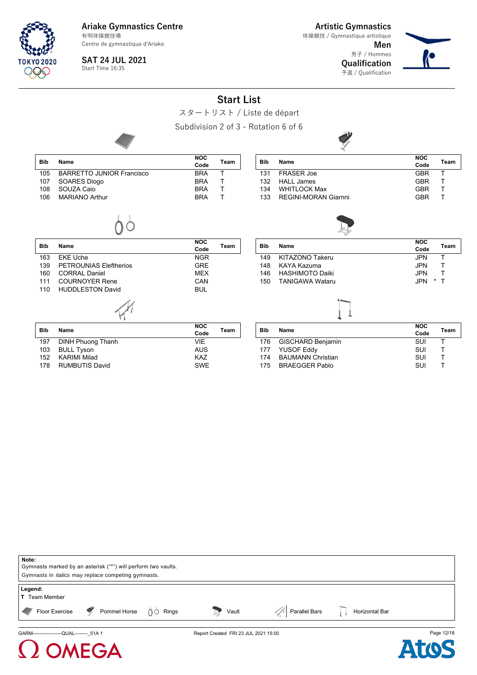Centre de gymnastique d'Ariake **SAT 24 JUL 2021**

Start Time 16:35

FGA

**Artistic Gymnastics** 体操競技 / Gymnastique artistique

> **Men** 男子 / Hommes **Qualification**

予選 / Qualification

![](_page_11_Picture_5.jpeg)

#### **Start List** スタートリスト / Liste de départ Subdivision 2 of 3 - Rotation 6 of 6 **Bib Name NOC Code Team** 105 BARRETTO JUNIOR Francisco BRA T 107 SOARES Diogo BRA T 108 SOUZA Caio **BRAT**<br>106 MARIANO Arthur **BRAT** 106 MARIANO Arthur **BRA Bib Name NOC Code Team** 131 FRASER Joe GBR T<br>132 HALL James GBR T 132 HALL James GBR T 134 WHITLOCK Max 133 REGINI-MORAN Giarnni GBR T **Bib Name NOC Code Team** 163 EKE Uche NGR 139 PETROUNIAS Eleftherios GRE 160 CORRAL Daniel MEX<br>111 COURNOYER Rene MEXICAN 111 COURNOYER Rene 110 HUDDLESTON David **BUL Bib Name NOC Code Team** 149 KITAZONO Takeru JPN T 148 KAYA Kazuma JPN T 146 HASHIMOTO Daiki JPN T 150 TANIGAWA Wataru **Bib Name NOC Code Team** 197 DINH Phuong Thanh VIE 103 BULL Tyson AUS 152 KARIMI Milad<br>178 RUMBUTIS David KAZ SWE 178 RUMBUTIS David **Bib Name NOC Code Team** 176 GISCHARD Benjamin SUI T 177 YUSOF Eddy SUI T 174 BAUMANN Christian SUI T 175 BRAEGGER Pablo

![](_page_11_Picture_7.jpeg)

![](_page_11_Picture_8.jpeg)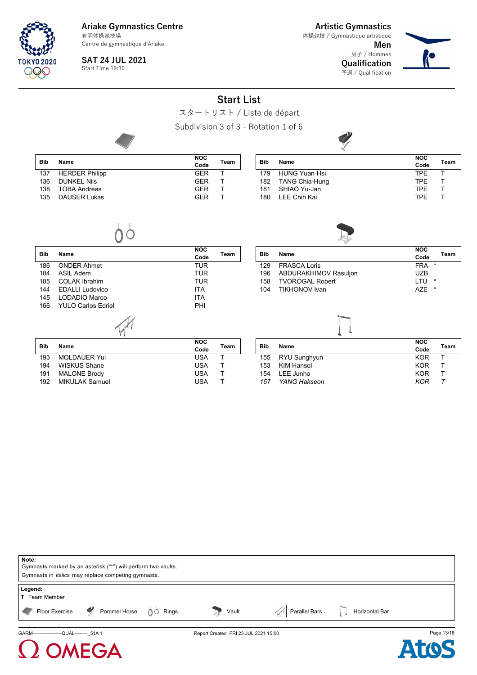Centre de gymnastique d'Ariake

**SAT 24 JUL 2021**

**Bib Name**

135 DAUSER Lukas

**Artistic Gymnastics** 体操競技 / Gymnastique artistique

> **Men** 男子 / Hommes **Qualification** 予選 / Qualification

![](_page_12_Picture_5.jpeg)

**NOC Code Team**

# Start Time 19:30

|  |  | <b>Start List</b> |  |
|--|--|-------------------|--|
|  |  |                   |  |

![](_page_12_Picture_8.jpeg)

![](_page_12_Picture_9.jpeg)

| 180 LEE Chih Kai |  |
|------------------|--|
|                  |  |

![](_page_12_Picture_11.jpeg)

|--|--|

| <b>Bib</b> | Name                      | <b>NOC</b>         | Team |
|------------|---------------------------|--------------------|------|
| 186        | <b>ONDER Ahmet</b>        | Code<br>TUR        |      |
|            |                           |                    |      |
| 184        | ASIL Adem                 | TUR                |      |
| 185        | <b>COLAK Ibrahim</b>      | TUR                |      |
| 144        | <b>EDALLI Ludovico</b>    | <b>ITA</b>         |      |
| 145        | LODADIO Marco             | <b>ITA</b>         |      |
| 166        | <b>YULO Carlos Edriel</b> | PHI                |      |
|            |                           |                    |      |
| <b>Bib</b> | Name                      | <b>NOC</b><br>Code | Team |
| 193        | <b>MOLDAUER Yul</b>       | <b>USA</b>         | т    |
| 194        | WISKUS Shane              | <b>USA</b>         | т    |
| 191        | <b>MALONE Brody</b>       | <b>USA</b>         | т    |
| 192        | <b>MIKULAK Samuel</b>     | USA                | T    |

| <b>Bib</b> | Name                   | <b>NOC</b><br>Code    | Team |
|------------|------------------------|-----------------------|------|
| 129        | <b>FRASCA Loris</b>    | $\star$<br><b>FRA</b> |      |
| 196        | ABDURAKHIMOV Rasuljon  | UZB                   |      |
| 158        | <b>TVOROGAL Robert</b> | *<br>I TU             |      |
| 104        | TIKHONOV Ivan          | A7F<br>*              |      |

![](_page_12_Picture_15.jpeg)

| Bib | Name             | <b>NOC</b> | Team |
|-----|------------------|------------|------|
|     |                  | Code       |      |
|     | 155 RYU Sunghyun | <b>KOR</b> |      |
| 153 | KIM Hansol       | <b>KOR</b> |      |
| 154 | LEE Junho        | <b>KOR</b> |      |
|     | 157 YANG Hakseon | <b>KOR</b> |      |
|     |                  |            |      |

![](_page_12_Picture_17.jpeg)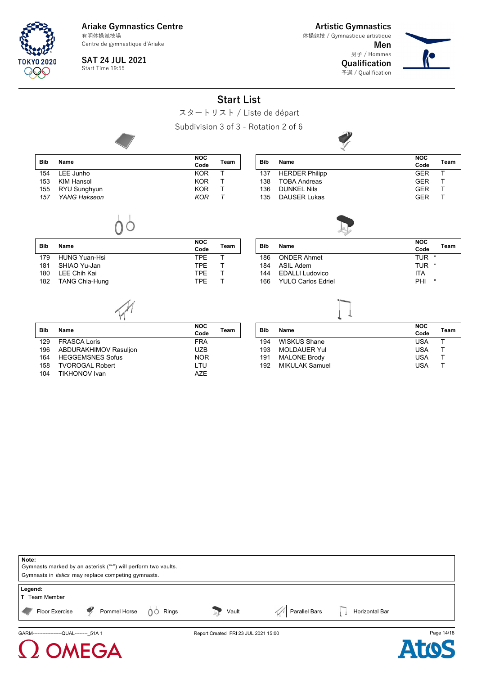Centre de gymnastique d'Ariake

**Artistic Gymnastics** 体操競技 / Gymnastique artistique

> **Men** 男子 / Hommes **Qualification**

予選 / Qualification

![](_page_13_Picture_4.jpeg)

**SAT 24 JUL 2021** Start Time 19:55

**TOKYO 2020** 999

**Start List**

|                 |                       |                                      | OLUIL LIJL  |            |                           |                                   |
|-----------------|-----------------------|--------------------------------------|-------------|------------|---------------------------|-----------------------------------|
|                 |                       | スタートリスト / Liste de départ            |             |            |                           |                                   |
|                 |                       | Subdivision 3 of 3 - Rotation 2 of 6 |             |            |                           |                                   |
|                 |                       |                                      |             |            |                           |                                   |
| <b>Bib</b>      | <b>Name</b>           | <b>NOC</b><br>Code                   | <b>Team</b> | <b>Bib</b> | <b>Name</b>               | <b>NOC</b><br><b>Team</b><br>Code |
| 154             | LEE Junho             | <b>KOR</b>                           | T.          | 137        | <b>HERDER Philipp</b>     | <b>GER</b><br>т                   |
| 153             | <b>KIM Hansol</b>     | <b>KOR</b>                           | T           | 138        | <b>TOBA Andreas</b>       | <b>GER</b><br>т                   |
| 155             | RYU Sunghyun          | <b>KOR</b>                           | T.          | 136        | <b>DUNKEL Nils</b>        | <b>GER</b><br>т                   |
| 157             | YANG Hakseon          | <b>KOR</b>                           | $\tau$      | 135        | <b>DAUSER Lukas</b>       | <b>GER</b><br>Т                   |
|                 |                       |                                      |             |            |                           |                                   |
| <b>Bib</b>      | <b>Name</b>           | <b>NOC</b><br>Code                   | Team        | <b>Bib</b> | Name                      | <b>NOC</b><br>Team<br>Code        |
| 179             | <b>HUNG Yuan-Hsi</b>  | <b>TPE</b>                           | T.          | 186        | <b>ONDER Ahmet</b>        | TUR *                             |
| 181             | SHIAO Yu-Jan          | <b>TPE</b>                           | т           | 184        | <b>ASIL Adem</b>          | TUR *                             |
| 180             | <b>LEE Chih Kai</b>   | <b>TPE</b>                           | T           | 144        | <b>EDALLI Ludovico</b>    | <b>ITA</b>                        |
| 182             | <b>TANG Chia-Hung</b> | <b>TPE</b>                           | T           | 166        | <b>YULO Carlos Edriel</b> | PHI<br>$\star$                    |
|                 |                       |                                      |             |            |                           |                                   |
| <b>Bib</b>      | Name                  | <b>NOC</b><br>Code                   | Team        | <b>Bib</b> | Name                      | <b>NOC</b><br>Team<br>Code        |
| 129             | <b>FRASCA Loris</b>   | <b>FRA</b>                           |             | 194        | <b>WISKUS Shane</b>       | <b>USA</b><br>т                   |
| 10 <sub>6</sub> | ARDURAKHIMOV Posulion | 117R                                 |             |            | $102$ MOLDALIED VIII      | 11C <sub>A</sub><br>T.            |

| <b>Bib</b> |                         | <b>NOC</b> |      |
|------------|-------------------------|------------|------|
|            | Name                    | Code       | Team |
| 129        | <b>FRASCA Loris</b>     | <b>FRA</b> |      |
| 196        | ABDURAKHIMOV Rasuljon   | <b>UZB</b> |      |
| 164        | <b>HEGGEMSNES Sofus</b> | <b>NOR</b> |      |
| 158        | <b>TVOROGAL Robert</b>  | LTU        |      |
| 104        | <b>TIKHONOV Ivan</b>    | A7F        |      |
|            |                         |            |      |

| <b>Bib</b> | Name                  | <b>NOC</b> | Team |
|------------|-----------------------|------------|------|
|            |                       | Code       |      |
| 194        | WISKUS Shane          | <b>USA</b> |      |
| 193        | <b>MOLDAUER Yul</b>   | <b>USA</b> |      |
| 191        | <b>MALONE Brody</b>   | <b>USA</b> |      |
| 192        | <b>MIKULAK Samuel</b> | USA        |      |

| Note:                                                                                                                       |                                      |                                |            |
|-----------------------------------------------------------------------------------------------------------------------------|--------------------------------------|--------------------------------|------------|
| Gymnasts marked by an asterisk ("*") will perform two vaults.<br>Gymnasts in <i>italics</i> may replace competing gymnasts. |                                      |                                |            |
|                                                                                                                             |                                      |                                |            |
| Legend:<br><b>T</b> Team Member                                                                                             |                                      |                                |            |
| Pommel Horse $\bigcirc$ Rings<br>$\mathbb{F}$ Floor Exercise<br>$\blacktriangleleft$                                        | Vault                                | Parallel Bars   Horizontal Bar |            |
| GARM-------------------QUAL-------- 51A 1                                                                                   | Report Created FRI 23 JUL 2021 15:00 |                                | Page 14/18 |

![](_page_13_Picture_11.jpeg)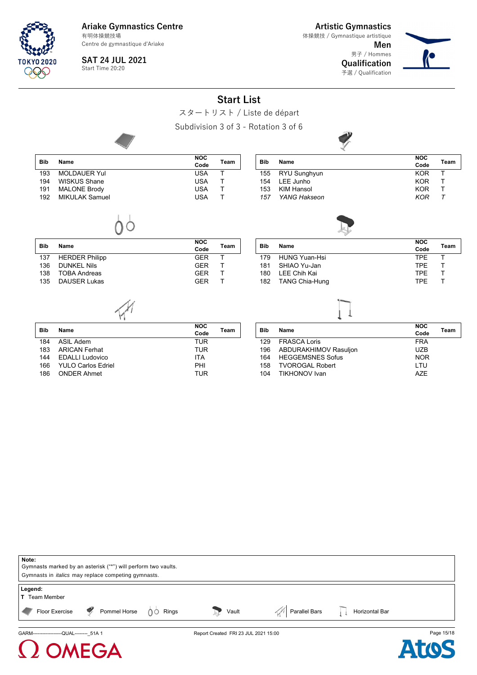Centre de gymnastique d'Ariake

**Artistic Gymnastics**

**Men** 男子 / Hommes 体操競技 / Gymnastique artistique

**Qualification** 予選 / Qualification

![](_page_14_Picture_5.jpeg)

TNKYN 2020

**SAT 24 JUL 2021** Start Time 20:20

> **Start List** スタートリスト / Liste de départ

![](_page_14_Figure_9.jpeg)

TIKHONOV Ivan

166 YULO Carlos Edriel **PHI**<br>186 ONDER Ahmet **PHI** TUR ONDER Ahmet

| Note:                                                         |                                      |                                |            |
|---------------------------------------------------------------|--------------------------------------|--------------------------------|------------|
| Gymnasts marked by an asterisk ("*") will perform two vaults. |                                      |                                |            |
| Gymnasts in <i>italics</i> may replace competing gymnasts.    |                                      |                                |            |
| Legend:<br><b>T</b> Team Member                               |                                      |                                |            |
| Floor Exercise P Pommel Horse 00 Rings                        | Vault                                | Parallel Bars   Horizontal Bar |            |
| GARM--------------------QUAL-------- 51A 1                    | Report Created FRI 23 JUL 2021 15:00 |                                | Page 15/18 |

![](_page_14_Picture_12.jpeg)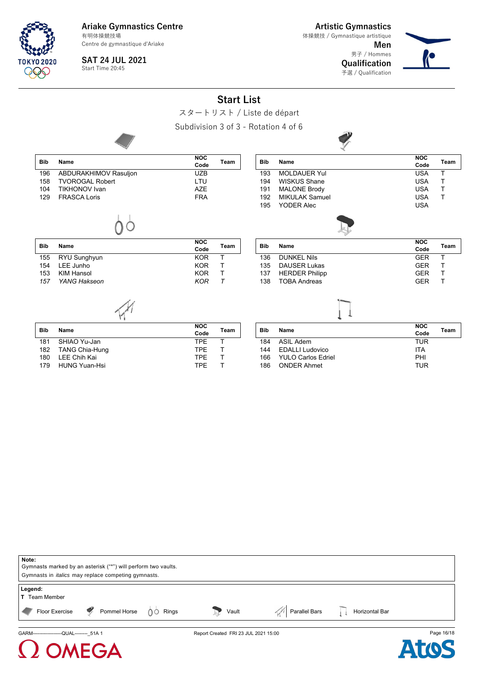Centre de gymnastique d'Ariake

**Artistic Gymnastics** 体操競技 / Gymnastique artistique

> **Men** 男子 / Hommes **Qualification**

予選 / Qualification

![](_page_15_Picture_4.jpeg)

**SAT 24 JUL 2021** Start Time 20:45

TNKYN 2020

**Start List**

![](_page_15_Picture_7.jpeg)

Subdivision 3 of 3 - Rotation 4 of 6

![](_page_15_Figure_9.jpeg)

| Note:<br>Gymnasts marked by an asterisk ("*") will perform two vaults.<br>Gymnasts in <i>italics</i> may replace competing gymnasts. |                                      |               |                |            |
|--------------------------------------------------------------------------------------------------------------------------------------|--------------------------------------|---------------|----------------|------------|
| Legend:<br><b>T</b> Team Member<br>Pommel Horse<br>$\bullet$<br>Rings<br>Floor Exercise<br>$0^{\circ}$                               | Vault                                | Parallel Bars | Horizontal Bar |            |
| GARM-------------------QUAL-------- 51A 1<br><b>(2) OMEGA</b>                                                                        | Report Created FRI 23 JUL 2021 15:00 |               |                | Page 16/18 |

![](_page_15_Picture_11.jpeg)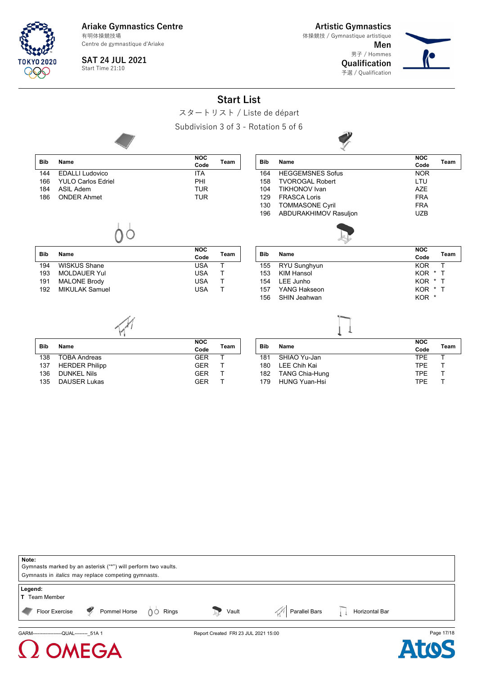Centre de gymnastique d'Ariake

**SAT 24 JUL 2021**

Start Time 21:10

**TOKYO 2020** 999

**Artistic Gymnastics** 体操競技 / Gymnastique artistique

> **Men** 男子 / Hommes **Qualification** 予選 / Qualification

![](_page_16_Picture_6.jpeg)

**NOC Code Team**

# **Start List**

Subdivision 3 of 3 - Rotation 5 of 6

![](_page_16_Picture_10.jpeg)

| <b>Bib</b> | Name                      | <b>NOC</b><br>Team<br>Code | <b>Bib</b> | Name                    | <b>NOC</b><br>Code |
|------------|---------------------------|----------------------------|------------|-------------------------|--------------------|
| 144        | <b>EDALLI Ludovico</b>    | ITA                        | 164        | <b>HEGGEMSNES Sofus</b> | <b>NOR</b>         |
| 166        | <b>YULO Carlos Edriel</b> | <b>PHI</b>                 | 158        | <b>TVOROGAL Robert</b>  | LTU                |
| 184        | ASIL Adem                 | <b>TUR</b>                 | 104        | <b>TIKHONOV</b> Ivan    | <b>AZE</b>         |
| 186        | <b>ONDER Ahmet</b>        | <b>TUR</b>                 | 129        | <b>FRASCA Loris</b>     | <b>FRA</b>         |
|            |                           |                            | 130        | <b>TOMMASONE Cyril</b>  | <b>FRA</b>         |
|            |                           |                            | 196        | ABDURAKHIMOV Rasuljon   | <b>UZB</b>         |
|            |                           |                            |            |                         |                    |

| <b>Bib</b> | Name                  | <b>NOC</b> | Team |  |
|------------|-----------------------|------------|------|--|
|            |                       | Code       |      |  |
| 194        | WISKUS Shane          | USA        |      |  |
| 193        | <b>MOLDAUER Yul</b>   | USA        |      |  |
| 191        | <b>MALONE Brody</b>   | <b>USA</b> |      |  |
| 192        | <b>MIKULAK Samuel</b> | USA        |      |  |
|            |                       |            |      |  |

| Bib | Name              | <b>NOC</b>       | Team  |
|-----|-------------------|------------------|-------|
|     |                   | Code             |       |
| 155 | RYU Sunghyun      | <b>KOR</b>       |       |
| 153 | <b>KIM Hansol</b> | <b>KOR</b>       | $*$ T |
| 154 | LEE Junho         | KOR * T          |       |
| 157 | YANG Hakseon      | KOR * T          |       |
| 156 | SHIN Jeahwan      | KOR <sup>*</sup> |       |

EGA

| <b>Bib</b> | Name                | <b>NOC</b><br>Code | Team |
|------------|---------------------|--------------------|------|
| 138        | TOBA Andreas        | <b>GFR</b>         |      |
|            | 137 HERDER Philipp  | <b>GFR</b>         |      |
| 136        | <b>DUNKEL Nils</b>  | <b>GFR</b>         |      |
| 135        | <b>DAUSER Lukas</b> | GFR                |      |

| Bib | Name               | <b>NOC</b><br>Code | Team |
|-----|--------------------|--------------------|------|
| 181 | SHIAO Yu-Jan       | <b>TPF</b>         |      |
| 180 | LEE Chih Kai       | <b>TPF</b>         |      |
|     | 182 TANG Chia-Hung | <b>TPF</b>         |      |
| 179 | HUNG Yuan-Hsi      | <b>TPF</b>         |      |

![](_page_16_Picture_17.jpeg)

![](_page_16_Picture_18.jpeg)